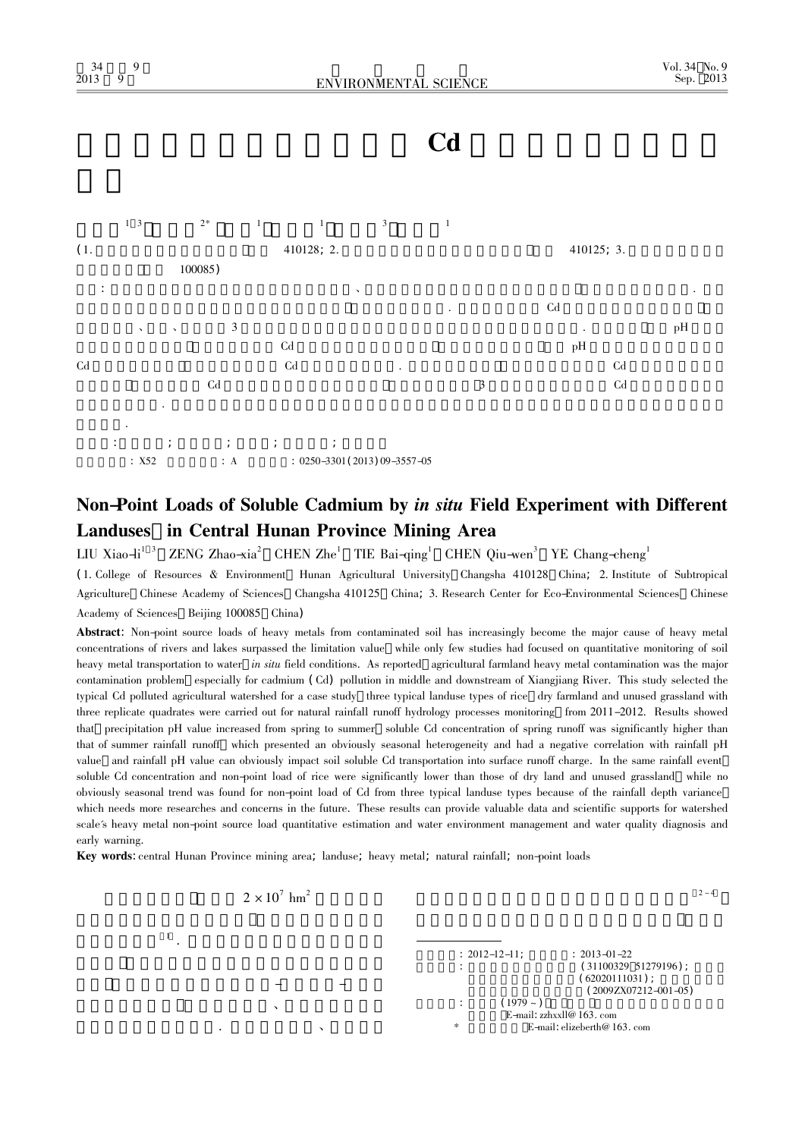# $C<sub>d</sub>$



## Non-Point Loads of Soluble Cadmium by in situ Field Experiment with Different Landuses in Central Hunan Province Mining Area

LIU Xiao-li<sup>1 3</sup> ZENG Zhao-xia<sup>2</sup> CHEN Zhe<sup>1</sup> TIE Bai-ging<sup>1</sup> CHEN Qiu-wen<sup>3</sup> YE Chang-cheng<sup>1</sup>

( 1. College of Resources & Environment Hunan Agricultural University Changsha <sup>410128</sup> China; 2. Institute of Subtropical Agriculture Chinese Academy of Sciences Changsha <sup>410125</sup> China; 3. Research Center for Eco-Environmental Sciences Chinese Academy of Sciences Beijing <sup>100085</sup> China)

Abstract: Non-point source loads of heavy metals from contaminated soil has increasingly become the major cause of heavy metal concentrations of rivers and lakes surpassed the limitation value while only few studies had focused on quantitative monitoring of soil heavy metal transportation to water in situ field conditions. As reported agricultural farmland heavy metal contamination was the major contamination problem especially for cadmium ( Cd) pollution in middle and downstream of Xiangjiang River. This study selected the typical Cd polluted agricultural watershed for a case study three typical landuse types of rice dry farmland and unused grassland with three replicate quadrates were carried out for natural rainfall runoff hydrology processes monitoring from 2011-2012. Results showed that precipitation pH value increased from spring to summer soluble Cd concentration of spring runoff was significantly higher than that of summer rainfall runoff which presented an obviously seasonal heterogeneity and had a negative correlation with rainfall pH value and rainfall pH value can obviously impact soil soluble Cd transportation into surface runoff charge. In the same rainfall event soluble Cd concentration and non-point load of rice were significantly lower than those of dry land and unused grassland while no obviously seasonal trend was found for non-point load of Cd from three typical landuse types because of the rainfall depth variance which needs more researches and concerns in the future. These results can provide valuable data and scientific supports for watershed scale's heavy metal non-point source load quantitative estimation and water environment management and water quality diagnosis and early warning.

Key words: central Hunan Province mining area; landuse; heavy metal; natural rainfall; non-point loads

 $2 \times 10^7$  hm<sup>2</sup>

 $2 \sim 4$ 

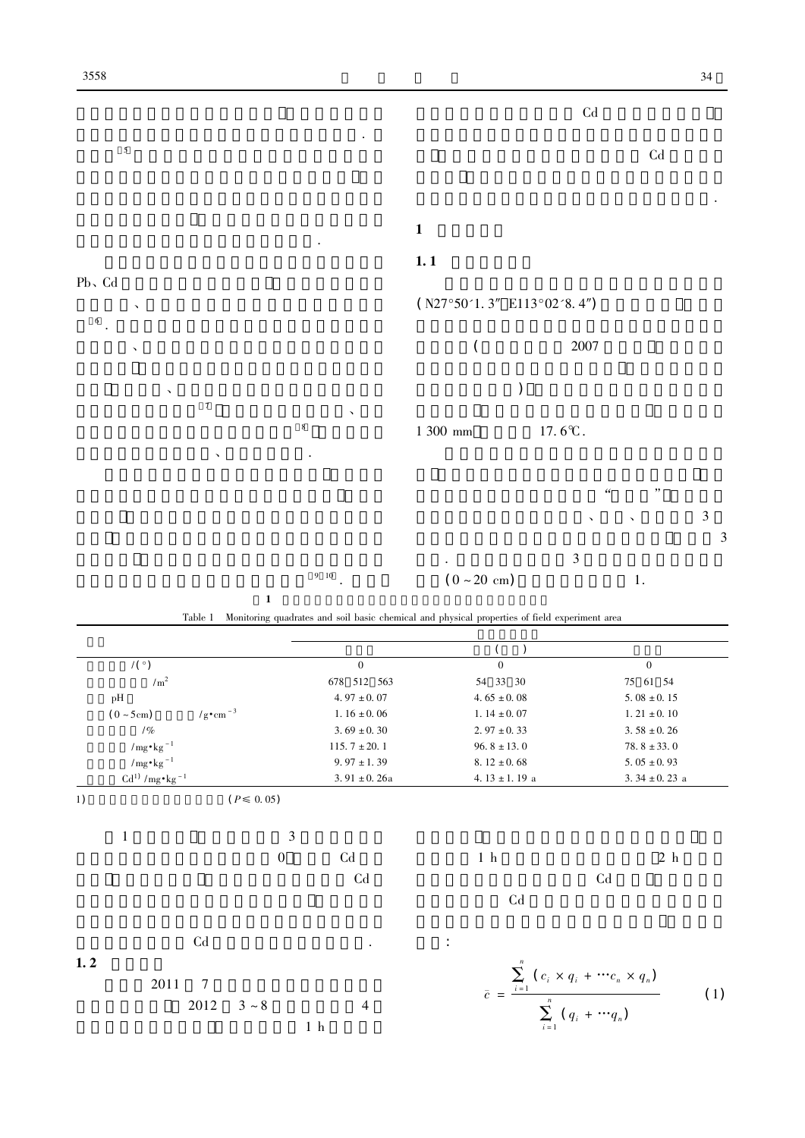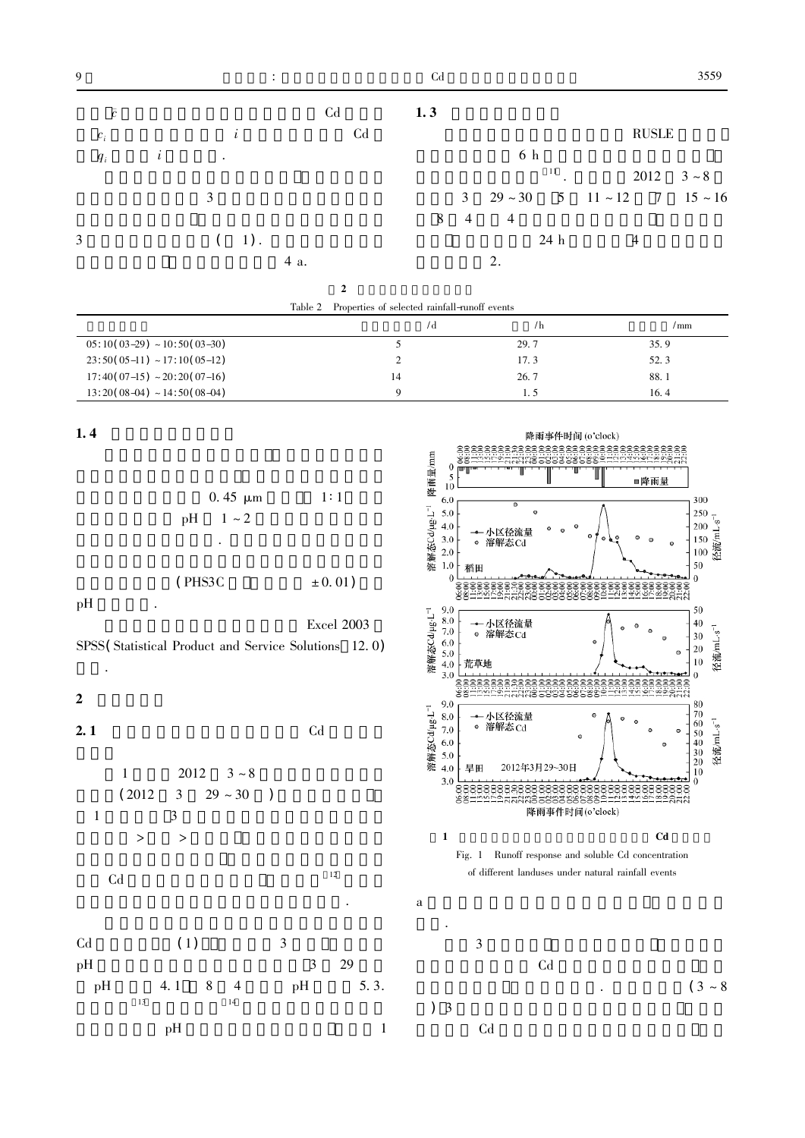

|  | Table 2 Properties of selected rainfall-runoff events |
|--|-------------------------------------------------------|

|                                  | /d | 'n   | mm   |
|----------------------------------|----|------|------|
| $05:10(03-29) \sim 10:50(03-30)$ |    | 29.7 | 35.9 |
| $23:50(05-11) \sim 17:10(05-12)$ |    | 17.3 | 52.3 |
| $17:40(07-15) \sim 20:20(07-16)$ | 14 | 26.7 | 88.1 |
| $13:20(08-04) \sim 14:50(08-04)$ |    | l. 5 | 16.4 |

### $1.4$

|                                                                                                   | 0.45 $\mu$ m<br>$pH \t1 \sim 2$<br>$\bullet$ | 1:1                  |                   |
|---------------------------------------------------------------------------------------------------|----------------------------------------------|----------------------|-------------------|
| (PHS3C                                                                                            |                                              | $\pm 0.01$ )         |                   |
| pH<br>SPSS (Statistical Product and Service Solutions 12.0)<br>$\ddot{\phantom{0}}$               |                                              |                      | <b>Excel 2003</b> |
| $\overline{2}$                                                                                    |                                              |                      |                   |
| 2.1                                                                                               |                                              | ${\rm Cd}$           |                   |
| $\mathbf{1}$<br>$(2012 \t 3 \t 29 \t 30)$<br>$\,1$<br>$\mathfrak{Z}$<br>$\rightarrow$<br>$\rm{>}$ | $2012 \t 3 \approx 8$                        |                      |                   |
| C <sub>d</sub>                                                                                    |                                              | 12                   | í                 |
| (1)<br>Cd<br>pH<br>4.1<br>pH                                                                      | 3<br>8<br>$\overline{4}$                     | $\mathfrak{Z}$<br>pH | 29<br>5.3.        |
| 13<br>pH                                                                                          | 14                                           |                      | $\mathbf{1}$      |

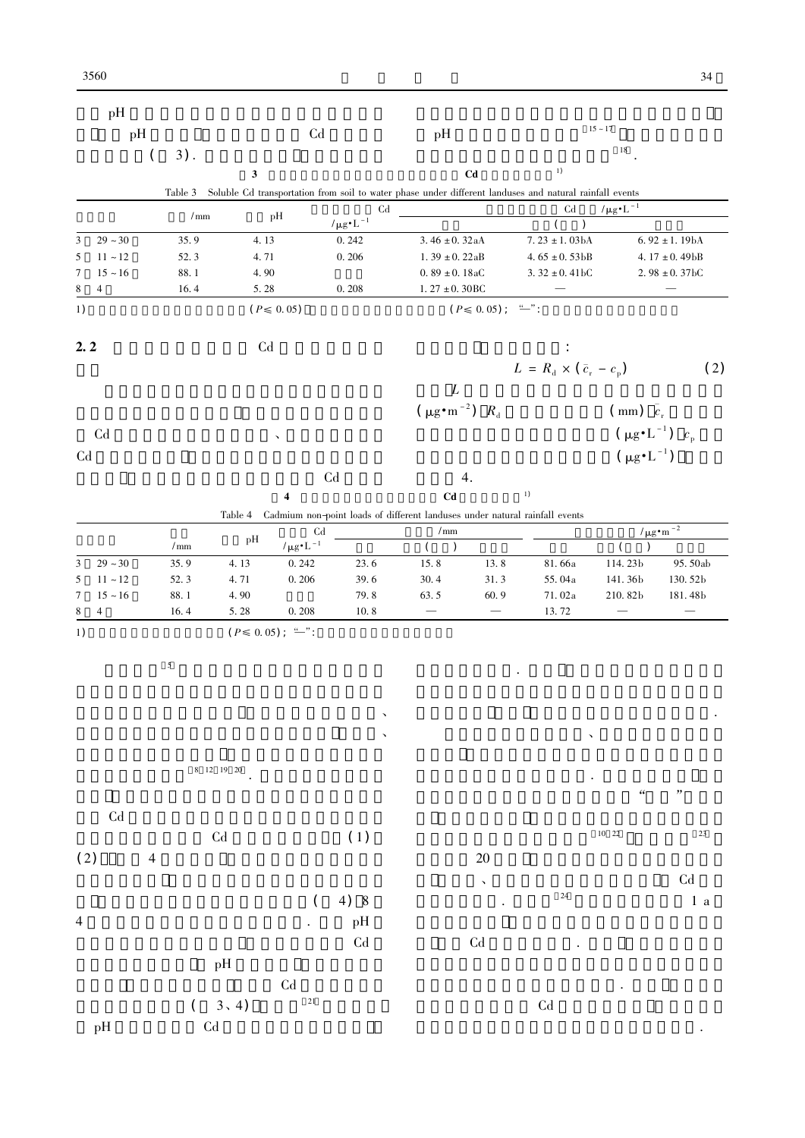| pH                                  |                     |                       |                                    |                                    |                              |                          |                                                                                                         |                                                       |                          |
|-------------------------------------|---------------------|-----------------------|------------------------------------|------------------------------------|------------------------------|--------------------------|---------------------------------------------------------------------------------------------------------|-------------------------------------------------------|--------------------------|
| pH                                  |                     |                       | C <sub>d</sub>                     |                                    | pH                           |                          |                                                                                                         | $15 \sim 17$                                          |                          |
|                                     | $3)$ .<br>$\left($  |                       |                                    |                                    |                              |                          |                                                                                                         | 18                                                    |                          |
|                                     |                     | 3                     |                                    |                                    |                              | Cd                       | $\, 1)$                                                                                                 |                                                       |                          |
|                                     | Table 3             |                       |                                    |                                    |                              |                          | Soluble Cd transportation from soil to water phase under different landuses and natural rainfall events |                                                       |                          |
|                                     | $/\rm{mm}$          |                       | pН                                 | C <sub>d</sub>                     |                              |                          | C <sub>d</sub>                                                                                          | $/\mu g \cdot L^{-1}$                                 |                          |
| $29 - 30$                           | 35.9                |                       |                                    | $/\mu g \boldsymbol{\cdot} L^{-1}$ | 3.46 $\pm$ 0.32aA            |                          | $\mathcal{E}$<br>(<br>$7.23 \pm 1.03 \text{bA}$                                                         |                                                       | 6.92 ± 1.19bA            |
| 3<br>5<br>$11 - 12$                 | 52.3                | 4.13<br>4.71          |                                    | 0.242<br>0.206                     | 1.39 $\pm$ 0.22aB            |                          | 4.65 $\pm$ 0.53bB                                                                                       |                                                       | 4.17 $\pm$ 0.49bB        |
| 7<br>$15 \sim 16$                   | 88.1                | 4.90                  |                                    |                                    | $0.89 \pm 0.18$ aC           |                          | $3.32 \pm 0.41 \text{bC}$                                                                               |                                                       | $2.98 \pm 0.37 \rm{bC}$  |
| 8<br>4                              | 16.4                | 5.28                  |                                    | 0.208                              | $1.27 \pm 0.30BC$            |                          |                                                                                                         |                                                       |                          |
| 1)                                  |                     |                       | ( $P \leq 0.05$ )                  |                                    |                              | $(P \le 0.05)$ ; "-";    |                                                                                                         |                                                       |                          |
| 2.2                                 |                     | C <sub>d</sub>        |                                    |                                    |                              |                          |                                                                                                         |                                                       |                          |
|                                     |                     |                       |                                    |                                    |                              |                          | $L = R_{\rm d} \times (\bar{c}_{\rm r} - c_{\rm p})$                                                    |                                                       |                          |
|                                     |                     |                       |                                    |                                    |                              |                          |                                                                                                         |                                                       | (2)                      |
|                                     |                     |                       |                                    |                                    | $\cal L$                     |                          |                                                                                                         |                                                       |                          |
|                                     |                     |                       |                                    |                                    | $(\mu g \cdot m^{-2})$ $R_d$ |                          |                                                                                                         | $\text{(mm)}\ \bar{c}_{\scriptscriptstyle{\text{r}}}$ |                          |
| C <sub>d</sub>                      |                     |                       |                                    |                                    |                              |                          |                                                                                                         | $(\mu g \cdot L^{-1}) c_p$                            |                          |
| C <sub>d</sub>                      |                     |                       |                                    |                                    |                              |                          |                                                                                                         | $(\mu g \cdot L^{-1})$                                |                          |
|                                     |                     |                       |                                    | C <sub>d</sub>                     |                              | 4.                       |                                                                                                         |                                                       |                          |
|                                     |                     |                       | 4                                  |                                    | Cd                           |                          | 1)                                                                                                      |                                                       |                          |
|                                     |                     | Table 4               |                                    |                                    |                              |                          | Cadmium non-point loads of different landuses under natural rainfall events                             |                                                       |                          |
|                                     |                     | pН                    | C <sub>d</sub>                     |                                    | $\sqrt{mn}$                  |                          |                                                                                                         |                                                       | $/\mu$ g•m <sup>-2</sup> |
|                                     | $/$ mm              |                       | $/\mu g \boldsymbol{\cdot} L^{-1}$ |                                    | $\left($<br>$\left( \right)$ |                          |                                                                                                         | (                                                     |                          |
| $29\sim30$<br>3                     | 35.9                | 4.13                  | 0.242                              | 23.6                               | 15.8                         | 13.8                     | $81.\,\allowbreak 66a$                                                                                  | 114.23b                                               | 95.50ab                  |
| $11 \sim 12$<br>5<br>7              | 52.3<br>88.1        | 4.71                  | 0.206                              | 39.6<br>79.8                       | 30.4                         | 31.3<br>60.9             | 55.04a                                                                                                  | 141.36b                                               | 130.52b                  |
| $15 \sim 16$<br>8<br>$\overline{4}$ | 16.4                | 4.90<br>5.28          | 0.208                              | 10.8                               | 63.5                         | $\overline{\phantom{0}}$ | 71.02a<br>13.72                                                                                         | 210.82b                                               | 181.48b                  |
| 1)                                  |                     | $(P \le 0.05)$ ; "-": |                                    |                                    |                              |                          |                                                                                                         |                                                       |                          |
|                                     |                     |                       |                                    |                                    |                              |                          |                                                                                                         |                                                       |                          |
|                                     | 5                   |                       |                                    |                                    |                              |                          |                                                                                                         |                                                       |                          |
|                                     |                     |                       |                                    |                                    |                              |                          |                                                                                                         |                                                       |                          |
|                                     |                     |                       |                                    |                                    |                              |                          |                                                                                                         |                                                       |                          |
|                                     |                     |                       |                                    | $\checkmark$                       |                              |                          |                                                                                                         |                                                       |                          |
|                                     |                     |                       |                                    | $\checkmark$                       |                              |                          | ╮                                                                                                       |                                                       |                          |
|                                     |                     |                       |                                    |                                    |                              |                          |                                                                                                         |                                                       |                          |
|                                     |                     | $8 \t12 \t19 \t20$    |                                    |                                    |                              |                          |                                                                                                         |                                                       |                          |
|                                     |                     |                       |                                    |                                    |                              |                          |                                                                                                         | $\epsilon\epsilon$                                    | "                        |
| ${\rm Cd}$                          |                     |                       |                                    |                                    |                              |                          |                                                                                                         |                                                       |                          |
|                                     |                     | $\operatorname{Cd}$   |                                    | (1)                                |                              |                          |                                                                                                         | $10\quad 22$                                          | $23\,$                   |
|                                     |                     |                       |                                    |                                    |                              |                          |                                                                                                         |                                                       |                          |
| (2)                                 | $\overline{4}$      |                       |                                    |                                    |                              | $20\,$                   |                                                                                                         |                                                       |                          |
|                                     |                     |                       |                                    |                                    |                              | $\checkmark$             |                                                                                                         |                                                       | $\operatorname{Cd}$      |
|                                     |                     |                       | $\overline{(\ }$                   | 4) 8                               |                              |                          | $24\,$                                                                                                  |                                                       | $1\,$ a                  |
| $\overline{\mathcal{L}}$            |                     |                       | $\ddot{\phantom{0}}$               | $\ensuremath{\mathrm{pH}}$         |                              |                          |                                                                                                         |                                                       |                          |
|                                     |                     |                       |                                    | $\operatorname{Cd}$                |                              | $\operatorname{Cd}$      |                                                                                                         |                                                       |                          |
|                                     |                     | pH                    |                                    |                                    |                              |                          |                                                                                                         |                                                       |                          |
|                                     |                     |                       |                                    |                                    |                              |                          |                                                                                                         |                                                       |                          |
|                                     |                     |                       | ${\rm Cd}$<br>21                   |                                    |                              |                          |                                                                                                         |                                                       |                          |
|                                     |                     | (3, 4)                |                                    |                                    |                              |                          | $\operatorname{Cd}$                                                                                     |                                                       |                          |
| $\ensuremath{\mathrm{pH}}$          | $\operatorname{Cd}$ |                       |                                    |                                    |                              |                          |                                                                                                         |                                                       |                          |
|                                     |                     |                       |                                    |                                    |                              |                          |                                                                                                         |                                                       |                          |